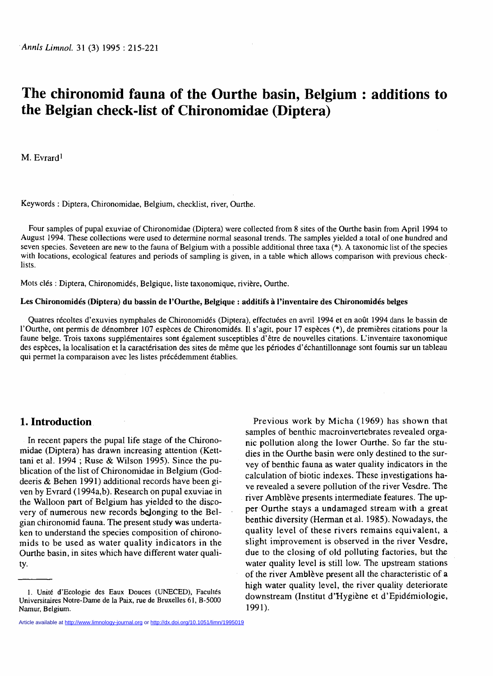# **The chironomid fauna of the Ourthe basin, Belgium : additions to the Belgian check-list of Chironomidae (Diptera)**

M. Evrard<sup>1</sup>

**Keywords : Diptera, Chironomidae, Belgium, checklist, river, Ourthe.** 

**Four samples of pupal exuviae of Chironomidae (Diptera) were collected from 8 sites of the Ourthe basin from April 1994 to August 1994. These collections were used to determine normal seasonal trends. The samples yielded a total of one hundred and seven species. Seveteen are new to the fauna of Belgium with a possible additional three taxa (\*). A taxonomic list of the species with locations, ecological features and periods of sampling is given, in a table which allows comparison with previous checklists.** 

**Mots clés : Diptera, Chironomidés, Belgique, liste taxonomique, rivière, Ourthe.** 

### **Les Chironomidés (Diptera) du bassin de l'Ourthe, Belgique : additifs à l'inventaire des Chironomidés belges**

**Quatres récoltes d'exuvies nymphales de Chironomidés (Diptera), effectuées en avril 1994 et en août 1994 dans le bassin de l'Ourthe, ont permis de dénombrer 107 espèces de Chironomidés. Il s'agit, pour 17 espèces (\*), de premières citations pour la faune belge. Trois taxons supplémentaires sont également susceptibles d'être de nouvelles citations. L'inventaire taxonomique des espèces, la localisation et la caractérisation des sites de même que les périodes d'échantillonnage sont fournis sur un tableau qui permet la comparaison avec les listes précédemment établies.** 

### **1. Introduction**

In recent papers the pupal life stage of the Chironomidae (Diptera) has drawn increasing attention (Ketttani et al. 1994 ; Ruse & Wilson 1995). Since the publication of the list of Chironomidae in Belgium (Goddeeris & Behen 1991) additional records have been given by Evrard (1994a,b). Research on pupal exuviae in the Walloon part of Belgium has yielded to the discovery of numerous new records belonging to the Belgian chironomid fauna. The present study was undertaken to understand the species composition of chironomids to be used as water quality indicators in the Ourthe basin, in sites which have different water quality.

nic pollution along the lower Ourthe. So far the studies in the Ourthe basin were only destined to the survey of benthic fauna as water quality indicators in the calculation of biotic indexes. These investigations have revealed a severe pollution of the river Vesdre. The river Amblève presents intermediate features. The upper Ourthe stays a undamaged stream with a great benthic diversity (Herman et al. 1985). Nowadays, the quality level of these rivers remains equivalent, a slight improvement is observed in the river Vesdre, due to the closing of old polluting factories, but the water quality level is still low. The upstream stations of the river Amblève present all the characteristic of **a**  high water quality level, the river quality deteriorate downstream (Institut d'Hygiène et d'Epidémiologie, 1991).

Previous work by Micha (1969) has shown that samples of benthic macroinvertebrates revealed orga-

**<sup>1.</sup> Unité d'Ecologie des Eaux Douces (UNECED), Facultés Universitaires Notre-Dame de la Paix, rue de Bruxelles 61, B-5000 Namur, Belgium.** 

Article available at <http://www.limnology-journal.org>or<http://dx.doi.org/10.1051/limn/1995019>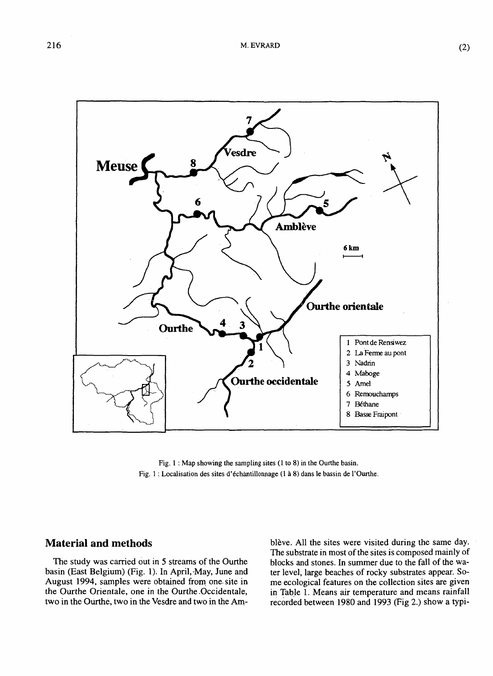

**Fig. 1 : Map showing the sampling sites (1 to 8) in the Ourthe basin. Fig. 1 : Localisation des sites d'échantillonnage (1 à 8) dans le bassin de l'Ourthe.** 

# **Material and methods**

The study was carried out in 5 streams of the Ourthe basin (East Belgium) (Fig. 1). In April, May, June and August 1994, samples were obtained from one site in the Ourthe Orientale, one in the Ourthe Occidentale, two in the Ourthe, two in the Vesdre and two in the Amblève. All the sites were visited during the same day. The substrate in most of the sites is composed mainly of blocks and stones. In summer due to the fall of the water level, large beaches of rocky substrates appear. Some ecological features on the collection sites are given in Table 1. Means air temperature and means rainfall recorded between 1980 and 1993 (Fig 2.) show a typi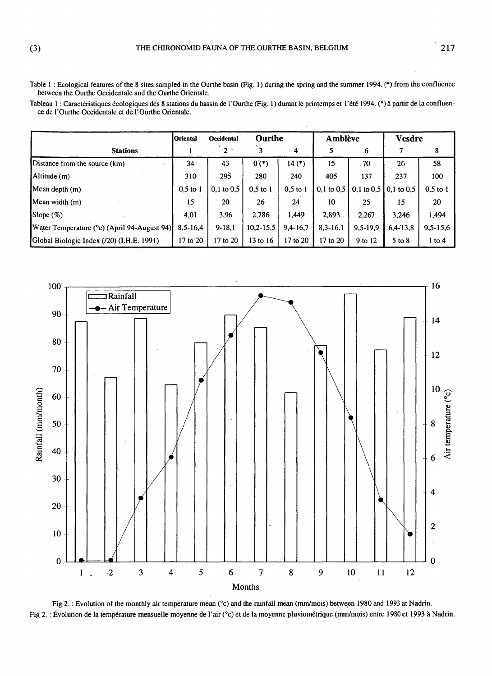**Table 1 : Ecological features of the 8 sites sampled in the Ourthe basin (Fig. 1) during the spring and the summer 1994. (\*) from the confluence between the Ourthe Occidentale and the Ourthe Orientale.** 

**Tableau 1 : Caractéristiques écologiques des 8 stations du bassin de l'Ourthe (Fig. 1 ) durant le printemps et l'été 1994. (\*) à partir de la confluence de l'Ourthe Occidentale et de l'Ourthe Orientale.** 

|                                             | <b>Oriental</b> | Occidental     | Ourthe      |            | <b>Amblève</b> |              | <b>Vesdre</b>  |            |
|---------------------------------------------|-----------------|----------------|-------------|------------|----------------|--------------|----------------|------------|
| <b>Stations</b>                             |                 | $\overline{2}$ |             | 4          | 5              | 6            |                | 8          |
| Distance from the source (km)               | 34              | 43             | $0(*)$      | $14(*)$    | 15             | 70           | 26             | 58         |
| $\mathbf{Altitude}$ (m)                     | 310             | 295            | 280         | 240        | 405            | 137          | $237 -$        | 100        |
| Mean depth (m)                              | $0,5$ to 1      | $0,1$ to $0,5$ | $0.5$ to 1  | $0,5$ to 1 | $0,1$ to $0,5$ | 0,1 to $0,5$ | $0,1$ to $0,5$ | $0,5$ to 1 |
| Mean width $(m)$                            | 15              | 20             | 26          | 24         | 10             | 25           | 15             | 20         |
| Slope $(\%)$                                | 4,01            | 3,96           | 2,786       | 1,449      | 2,893          | 2,267        | 3,246          | 1,494      |
| Water Temperature (°c) (April 94-August 94) | $8,5-16,4$      | $9-18,1$       | $10,2-15,5$ | $9,4-16,7$ | $8,3-16,1$     | $9,5-19,9$   | $6,4-13,8$     | $9,5-15,6$ |
| Global Biologic Index (/20) (I.H.E. 1991)   | 17 to 20        | 17 to 20       | 13 to 16    | 17 to 20   | 17 to 20       | 9 to 12      | $5$ to $8$     | $1$ to $4$ |



**Fig 2. : Evolution of the monthly air temperature mean (°c) and the rainfall mean (mm/mois) between 1980 and 1993 at Nadrin. Fig 2. : Évolution de la température mensuelle moyenne de l'air (°c) et de la moyenne pluviométrique (mm/mois) entre 1980 et 1993 à Nadrin.**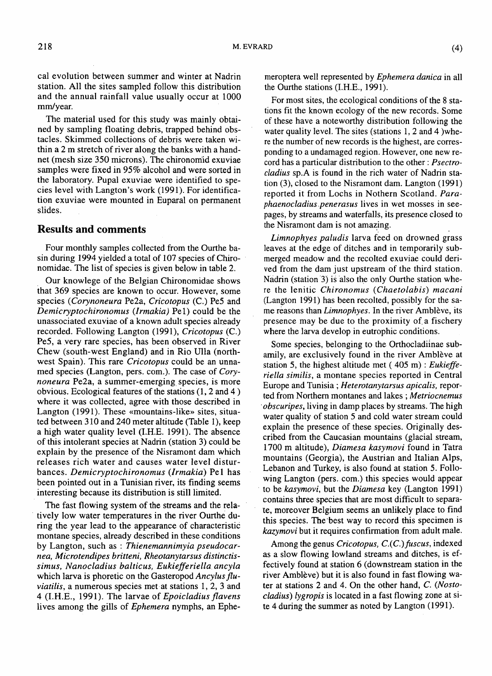The material used for this study was mainly obtained by sampling floating debris, trapped behind obstacles. Skimmed collections of debris were taken within a 2 m stretch of river along the banks with a handnet (mesh size 350 microns). The chironomid exuviae samples were fixed in 95% alcohol and were sorted in the laboratory. Pupal exuviae were identified to species level with Langton's work (1991). For identification exuviae were mounted in Euparal on permanent slides.

## **Results and comments**

Four monthly samples collected from the Ourthe basin during 1994 yielded a total of 107 species of Chironomidae. The list of species is given below in table 2.

Our knowlege of the Belgian Chironomidae shows that 369 species are known to occur. However, some species *(Corynoneura* Pe2a, *Cricotopus* (C.) Pe5 and *Demicryptochironomus (Irmakia)* Pel) could be the unassociated exuviae of a known adult species already recorded. Following Langton (1991), *Cricotopus* (C.) Pe5, a very rare species, has been observed in River Chew (south-west England) and in Rio Ulla (northwest Spain). This rare *Cricotopus* could be an unnamed species (Langton, pers. com.). The case of *Corynoneura* Pe2a, a summer-emerging species, is more obvious. Ecological features of the stations (1,2 and 4 ) where it was collected, agree with those described in Langton (1991). These «mountains-like» sites, situated between 310 and 240 meter altitude (Table 1), keep a high water quality level (I.H.E. 1991). The absence of this intolerant species at Nadrin (station 3) could be explain by the presence of the Nisramont dam which releases rich water and causes water level disturbances. *Demicryptochironomus (Irmakia)* Pel has been pointed out in a Tunisian river, its finding seems interesting because its distribution is still limited.

The fast flowing system of the streams and the relatively low water temperatures in the river Ourthe during the year lead to the appearance of characteristic montane species, already described in these conditions by Langton, such as : *Thienemannimyia pseudocarnea, Microtendipes britteni, Rheotanytarsus distinctissimus, Nanocladius balticus, Eukiefferiella ancyla*  which larva is phoretic on the Gasteropod *Ancylus fluviatilis,* a numerous species met at stations 1, 2, 3 and 4 (I.H.E., 1991). The larvae of *Epoicladius flavens*  lives among the gills of *Ephemera* nymphs, an Ephemeroptera well represented by *Ephemera dánica* in all the Ourthe stations (I.H.E., 1991).

For most sites, the ecological conditions of the 8 stations fit the known ecology of the new records. Some of these have a noteworthy distribution following the water quality level. The sites (stations 1, 2 and 4 )where the number of new records is the highest, are corresponding to a undamaged region. However, one new record has a particular distribution to the other : *Psectrocladius* sp.A is found in the rich water of Nadrin station (3), closed to the Nisramont dam. Langton (1991) reported it from Lochs in Nothern Scotland. *Paraphaenocladius penerasus* lives in wet mosses in seepages, by streams and waterfalls, its presence closed to the Nisramont dam is not amazing.

*Limnophyes paludis* larva feed on drowned grass leaves at the edge of ditches and in temporarily submerged meadow and the recolted exuviae could derived from the dam just upstream of the third station. Nadrin (station 3) is also the only Ourthe station where the lenitic *Chironomus (Chaetolabis) macani*  (Langton 1991) has been recolted, possibly for the same reasons than *Limnophyes.* In the river Amblève, its presence may be due to the proximity of a fischery where the larva develop in eutrophic conditions.

Some species, belonging to the Orthocladiinae subamily, are exclusively found in the river Amblève at station 5, the highest altitude met ( 405 m) : *Eukiefferiella similis,* a montane species reported in Central Europe and Tunisia ; *Heterotanytarsus apicalis,* reported from Northern montanes and lakes ; Metriocnemus *obscuripes,* living in damp places by streams. The high water quality of station 5 and cold water stream could explain the presence of these species. Originally described from the Caucasian mountains (glacial stream, 1700 m altitude), *Diamesa kasymovi* found in Tatra mountains (Georgia), the Austrian and Italian Alps, Lebanon and Turkey, is also found at station 5. Following Langton (pers. com.) this species would appear to be *kasymovi,* but the *Diamesa* key (Langton 1991) contains three species that are most difficult to separate, moreover Belgium seems an unlikely place to find this species. The best way to record this specimen is *kazymovi* but it requires confirmation from adult male.

Among the genus *Cricotopus, C.(C.)fuscus,* indexed as a slow flowing lowland streams and ditches, is effectively found at station 6 (downstream station in the river Amblève) but it is also found in fast flowing water at stations 2 and 4. On the other hand, *C. (Nostocladius) lygropis* is located in a fast flowing zone at site 4 during the summer as noted by Langton (1991).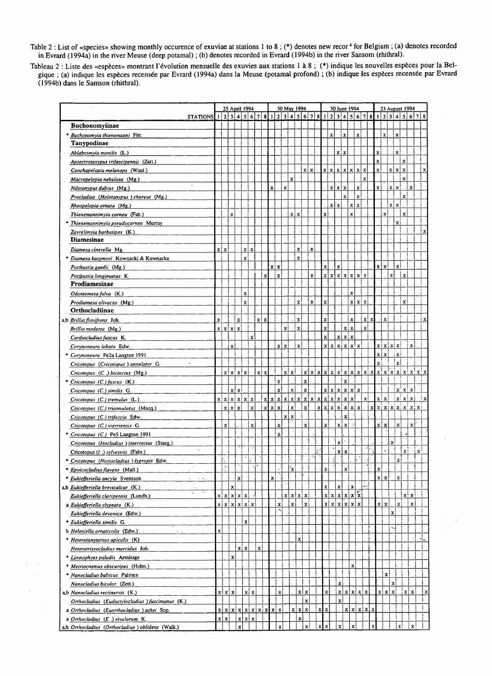**Table 2 : List of «species» showing monthly occurence of exuviae at stations 1 to 8 ; (\*) denotes new recor^ for Belgium ; (a) denotes recorded in Evrard (1994a) in the river Meuse (deep potamal) ; (b) denotes recorded in Evrard (1994b) in the river Sansom (rhithral).** 

**Tableau 2 : Liste des «espèces» montrant l'évolution mensuelle des exuvies aux stations 1 à 8 ; (\*) indique les nouvelles espèces pour la Belgique ; (a) indique les espèces recensée par Evrard (1994a) dans la Meuse (potamal profond) ; (b) indique les espèces recensée par Evrard (1994b) dans le Samson (rhithral).** 

 $\hat{\mathcal{L}}$ 

 $\Delta$ 

|                                                                                                                                                                 |              |               |               | 25 April 1994         |              |              |                                       |       |                |                         |                         | 30 May 1994       |                           |                         |                    |                       |                           | 30 June 1994          |                           |                         |               |                    |             |              |                    | 23 August 1994                                        |                               |              |
|-----------------------------------------------------------------------------------------------------------------------------------------------------------------|--------------|---------------|---------------|-----------------------|--------------|--------------|---------------------------------------|-------|----------------|-------------------------|-------------------------|-------------------|---------------------------|-------------------------|--------------------|-----------------------|---------------------------|-----------------------|---------------------------|-------------------------|---------------|--------------------|-------------|--------------|--------------------|-------------------------------------------------------|-------------------------------|--------------|
| <b>STATIONS</b>                                                                                                                                                 | $\mathbf{1}$ |               |               | 2 3 4 5 6 7           |              |              |                                       | 8     | $\overline{2}$ | $\overline{\mathbf{3}}$ | $\overline{\mathbf{4}}$ | $\vert$ 5         | 6 <sup>1</sup>            | $\overline{7}$<br>8     |                    |                       |                           | 2 3 4 5               |                           | $\vert 6 \vert 7 \vert$ |               | $\bf{8}$           |             |              |                    |                                                       | 2 3 4 5 6 7 8                 |              |
| Buchonomyiinae                                                                                                                                                  |              |               |               |                       |              |              |                                       |       |                |                         |                         |                   |                           |                         |                    |                       |                           |                       |                           |                         |               |                    |             |              |                    |                                                       |                               |              |
| * Buchonomyia thienemanni Fitt.                                                                                                                                 |              |               |               |                       |              |              |                                       |       |                |                         |                         |                   |                           |                         |                    | $\mathbf{x}$          |                           | $\mathbf{x}$          |                           | $\mathbf{x}$            |               |                    | x           |              | $\mathbf{x}$       |                                                       |                               |              |
| Tanypodinae                                                                                                                                                     |              |               |               |                       |              |              |                                       |       |                |                         |                         |                   |                           |                         |                    |                       |                           |                       |                           |                         |               |                    |             |              |                    |                                                       |                               |              |
| Ablabesmyia monilis (L.)                                                                                                                                        |              |               |               |                       |              |              |                                       |       |                |                         |                         |                   |                           |                         |                    |                       | $x \mid x$                |                       |                           |                         |               | x                  |             |              | x                  |                                                       |                               |              |
| Apsectrotanypus trifascipennis (Zett.)                                                                                                                          |              |               |               |                       |              |              |                                       |       |                |                         |                         |                   |                           |                         |                    |                       |                           |                       |                           |                         |               | $\mathbf{x}$       |             |              |                    | $\mathbf{x}$                                          |                               |              |
| Conchapelopia melanops (Wied.)                                                                                                                                  |              |               |               |                       |              |              |                                       |       |                |                         |                         |                   | $x \mid x$                |                         |                    | x   x   x   x   x   x |                           |                       |                           |                         |               | $\mathbf x$        |             |              | x   x              | $\mathbf{x}$                                          |                               | x            |
| Macropelopia nebulosa (Mg.)                                                                                                                                     |              |               |               |                       |              |              |                                       |       |                |                         | $\mathbf{x}$            |                   |                           |                         |                    |                       |                           |                       |                           |                         | $\mathbf{x}$  |                    |             |              |                    | $\mathbf x$                                           |                               |              |
| Nilotanypus dubius (Mg.)                                                                                                                                        |              |               |               |                       |              |              |                                       | X     |                | $\mathbf{x}$            |                         |                   |                           |                         |                    |                       | x   x   x                 |                       |                           | $\mathbf x$             |               | $\bar{\mathbf{x}}$ |             |              | $x \mid x$         |                                                       | $\mathbf{x}$                  |              |
| Procladius (Holotanypus ) choreus (Mg.)                                                                                                                         |              |               |               |                       |              |              |                                       |       |                |                         |                         |                   |                           |                         |                    |                       |                           | $\mathbf x$           |                           | $\mathbf{x}$            |               |                    |             |              |                    | $\mathbf{x}$                                          |                               |              |
| Rheopelopia ornata (Mg.)                                                                                                                                        |              |               |               |                       |              |              |                                       |       |                |                         |                         |                   |                           |                         |                    | xlx                   |                           |                       | xlx                       |                         |               |                    |             |              | $x \mid x$         |                                                       |                               |              |
| Thienemannimyia carnea (Fab.)                                                                                                                                   |              |               | x             |                       |              |              |                                       |       |                |                         | $x \mid x$              |                   |                           |                         | X                  |                       |                           |                       | x                         |                         |               |                    |             | $\mathbf{x}$ |                    | $\mathbf x$                                           |                               |              |
| * Thienemannimyia pseudocarnea Murray                                                                                                                           |              |               |               |                       |              |              |                                       |       |                |                         |                         |                   |                           |                         |                    |                       |                           |                       |                           |                         |               |                    |             |              | xi                 |                                                       |                               |              |
| Zavrelimyia barbatipes (K.)                                                                                                                                     |              |               |               |                       |              |              |                                       |       |                |                         |                         |                   |                           |                         |                    |                       |                           |                       |                           |                         |               |                    |             |              |                    |                                                       |                               |              |
| <b>Diamesinae</b>                                                                                                                                               |              |               |               |                       |              |              |                                       |       |                |                         |                         |                   |                           |                         |                    |                       |                           |                       |                           |                         |               |                    |             |              |                    |                                                       |                               |              |
| Diamesa cinerella Mg.                                                                                                                                           |              | x   x         |               |                       | xix          |              |                                       |       |                |                         |                         | X                 |                           | X                       |                    |                       |                           |                       |                           |                         |               |                    |             |              |                    |                                                       |                               |              |
| * Diamesa kasymovi Kownacki & Kownacka                                                                                                                          |              |               |               |                       | X            |              |                                       |       |                |                         |                         | $\mathbf{x}$      |                           |                         |                    |                       |                           |                       |                           |                         |               |                    |             |              |                    |                                                       |                               |              |
| Potthastia gaedii (Mg.)                                                                                                                                         |              |               |               |                       |              |              |                                       |       | $x \mid x$     |                         |                         |                   |                           |                         | $\mathbf x$        |                       | $\boldsymbol{\mathsf{x}}$ |                       |                           |                         |               |                    | $x \mid x$  |              | $\mathbf{x}$       |                                                       |                               |              |
| Potthastia longimanus K.                                                                                                                                        |              |               |               |                       |              |              |                                       | x     | $\bf{x}$       |                         |                         |                   |                           | $\mathbf{x}$            | $\pmb{\mathsf{x}}$ |                       |                           | x   x   x   x   x   x |                           |                         |               |                    |             | $\mathbf{x}$ |                    | $\mathbf{x}$                                          |                               |              |
| Prodiamesinae                                                                                                                                                   |              |               |               |                       |              |              |                                       |       |                |                         |                         |                   |                           |                         |                    |                       |                           |                       |                           |                         |               |                    |             |              |                    |                                                       |                               |              |
| Odontomesa fulva (K.)                                                                                                                                           |              |               |               |                       | $\mathbf{x}$ |              |                                       |       |                |                         |                         |                   |                           |                         |                    |                       |                           |                       | $\mathbf x$               |                         |               |                    |             |              |                    |                                                       |                               |              |
| Prodiamesa olivacea (Mg.)                                                                                                                                       |              |               |               |                       | $\mathbf{x}$ |              |                                       |       |                |                         |                         | $\mathbf{x}$      |                           | $\mathbf{x}$            | $\bf{X}$           |                       |                           |                       |                           | x   x   x               |               |                    |             |              |                    | X                                                     |                               |              |
| Orthocladiinae                                                                                                                                                  |              |               |               |                       |              |              |                                       |       |                |                         |                         |                   |                           |                         |                    |                       |                           |                       |                           |                         |               |                    |             |              |                    |                                                       |                               |              |
| a,b Brillia flavifrons Joh.                                                                                                                                     | X            |               |               | $\mathbf{x}$          |              |              | xlx                                   |       |                |                         |                         | $\mathbf{x}$      |                           |                         | $\pmb{\mathsf{X}}$ |                       |                           |                       | $\mathbf x$               |                         | xl            | x                  |             | $\mathbf x$  |                    |                                                       |                               | х            |
| Brillia modesta (Mg.)                                                                                                                                           |              |               | x   x   x   x |                       |              |              |                                       |       |                | x                       |                         | $\mathbf{x}$      |                           |                         | $\mathbf{x}$       |                       |                           | x x                   |                           |                         | $\mathbf{x}$  |                    |             |              |                    |                                                       |                               |              |
| Cardiocladius fuscus K.                                                                                                                                         |              |               |               |                       |              | $\mathbf{x}$ |                                       |       |                |                         |                         |                   |                           |                         | $\mathbf{x}$       |                       |                           | x x                   |                           |                         |               |                    |             |              |                    |                                                       |                               |              |
| Corynoneura lobata Edw.                                                                                                                                         |              |               | $\mathbf x$   |                       |              |              |                                       |       |                | x   x                   |                         | $\mathbf x$       |                           |                         | x!                 |                       |                           | x   x   x   x   x     |                           |                         |               |                    |             |              | x   x   x   x      |                                                       | xi                            |              |
| * Corynoneura Pe2a Langton 1991                                                                                                                                 |              |               |               |                       |              |              |                                       |       |                |                         |                         |                   |                           |                         |                    |                       |                           |                       |                           |                         |               |                    | x   x       |              | 'xi                |                                                       |                               |              |
| Cricotopus (Cricotopus) annulator G.                                                                                                                            |              |               |               |                       |              |              |                                       |       |                |                         |                         |                   |                           |                         |                    |                       |                           |                       |                           |                         |               |                    | xi          |              | x                  |                                                       |                               |              |
| $Cricotopus_C(Q_n)$ bicinctus (Mg.)<br>$\mathcal{L}^{\mathcal{L}}(\mathcal{L}^{\mathcal{L}})$ and $\mathcal{L}^{\mathcal{L}}(\mathcal{L}^{\mathcal{L}})$ . Then |              |               |               | x   x   x   x         |              |              | $x \mid x$                            |       |                |                         | x x                     |                   | ัx  ี                     |                         |                    |                       |                           |                       |                           |                         |               |                    |             |              |                    |                                                       |                               |              |
| * Cricotopus (C.) fuscus (K.)                                                                                                                                   |              |               |               |                       |              |              |                                       |       | $\mathbf{x}$   |                         |                         |                   | $\mathbf x$               |                         |                    |                       |                           | $\mathbf x$           |                           |                         |               |                    |             |              |                    |                                                       |                               |              |
| Cricotopus (C.) similis G.                                                                                                                                      |              |               | x x           |                       |              |              |                                       |       | $\mathbf x$    |                         | $\mathbf{x}$            |                   | $\mathbf x$               |                         |                    | x   x   x   x   x   x |                           |                       |                           |                         |               |                    |             |              |                    | $\mathbf{x} \cdot \mathbf{x}$                         |                               |              |
| Cricotopus (C.) tremulus (L.)                                                                                                                                   |              |               |               | x   x   x   x   x   x |              |              |                                       |       |                |                         |                         |                   |                           | x x x x x x x x x x x x |                    |                       |                           |                       | $\vert$ x $\vert$         |                         | $\mathbf{x}$  |                    |             |              |                    | $\vert x \vert x \vert \vert x \vert x \vert x \vert$ |                               | ≕ xl         |
| Cricotopus (C.) triannulatus (Macq.)                                                                                                                            |              | xİ            | ∣x l xi       |                       |              | $\mathbf{x}$ |                                       | x x x |                |                         | $\mathbf{x}$            |                   | $\mathbf{x}$              |                         |                    | x x x                 |                           | $\mathbf{x}$          |                           | x x                     |               |                    |             |              |                    |                                                       | x   x   x   x   x   x   x   x |              |
| Cricotopus (C.) trifascia Edw.                                                                                                                                  |              |               |               |                       |              |              |                                       |       |                |                         | x   x                   |                   |                           |                         |                    |                       |                           | X                     |                           |                         |               |                    |             |              |                    |                                                       |                               |              |
| Cricotopus (C.) vierriensis G.                                                                                                                                  |              | $\mathbf{x}$  |               |                       |              | $\mathbf{x}$ |                                       |       | $\mathbf{x}$   |                         |                         |                   | $\dot{\mathbf{x}}$        |                         | X                  |                       | $x \mid x$                |                       |                           |                         |               |                    | x   x       |              | $\mathbf x$        |                                                       | $\mathbf x$                   |              |
| * Cricotopus (C.) Pe5 Langton 1991                                                                                                                              |              |               |               |                       |              |              |                                       |       | $\mathbf{x}$   |                         |                         |                   |                           |                         |                    |                       |                           |                       |                           |                         |               |                    |             |              |                    |                                                       |                               |              |
| Cricotopus (Isocladius) intersectus (Staeg.)                                                                                                                    |              |               |               |                       |              |              |                                       |       |                |                         |                         |                   |                           |                         |                    |                       | $\mathbf{x}$              |                       |                           |                         |               |                    |             |              | ٠x                 |                                                       |                               |              |
| $\sim$ .<br>Cricotopus (1.) sylvestris (Fabr.)                                                                                                                  |              |               |               |                       |              |              |                                       |       |                |                         |                         |                   |                           |                         |                    |                       | $x \mid x$                |                       |                           |                         |               |                    |             |              |                    | $\mathbf{x}$                                          |                               | $\mathbf{x}$ |
| * Cricotopus (Nostocladius ) lygropis Edw.                                                                                                                      |              |               |               |                       |              |              |                                       |       |                |                         |                         |                   |                           |                         |                    |                       |                           |                       |                           |                         |               |                    |             |              | xi                 |                                                       |                               |              |
| * Epoicocladius flavens (Mall.)                                                                                                                                 |              | $\mathcal{I}$ |               |                       |              |              |                                       |       |                |                         | .<br>۲                  |                   |                           |                         | X                  |                       |                           | x                     |                           |                         |               |                    | $\mathbf x$ |              |                    |                                                       |                               |              |
| * Eukiefferiella ancyla Svensson<br>$\mathcal{F}=\mathcal{F}_{\mathbf{m},\mathcal{C}}$                                                                          |              |               |               | $\mathbf{x}$          |              |              |                                       | x     |                |                         |                         |                   |                           |                         |                    |                       |                           |                       |                           |                         |               |                    | $x \mid x$  |              | $\mathbf{x}$       |                                                       |                               |              |
| a,b Eukiefferiella brevicalcar (K.)                                                                                                                             |              |               | $\mathbf{x}$  |                       |              |              |                                       |       |                |                         |                         |                   |                           |                         | X                  |                       | $\mathbf{x}$              |                       | $\mathbf x$               |                         | уś,           |                    |             |              |                    |                                                       |                               |              |
| Eukiefferiella claripennis (Lundb.)                                                                                                                             | xi           |               |               | x x x x               |              |              |                                       |       |                |                         |                         | x   x   x   x     |                           |                         |                    | x   x   x   x   x   x |                           |                       |                           |                         |               |                    |             |              |                    |                                                       | $X$ $X$                       |              |
| a Eukiefferiella clypeata (K.)                                                                                                                                  | xİ           |               |               | x x x x x             |              |              |                                       |       | X              |                         | $\mathbf{x}$            |                   | $\boldsymbol{\mathsf{x}}$ |                         |                    | x[x[x[x]x]            |                           |                       |                           |                         |               |                    | x x         |              | x                  |                                                       | x <sub>1</sub>                |              |
| Eukiefferiella devonica (Edw.)                                                                                                                                  |              |               |               |                       |              |              |                                       |       |                |                         |                         |                   |                           |                         |                    |                       |                           |                       |                           |                         |               |                    |             |              | 'X                 |                                                       |                               |              |
| * Eukiefferiella similis G.                                                                                                                                     |              |               |               |                       | $\mathbf{x}$ |              |                                       |       |                |                         |                         |                   |                           |                         |                    |                       |                           |                       |                           |                         |               |                    |             |              |                    |                                                       |                               |              |
| <b>b</b> Heleniella ornaticolis (Edw.)                                                                                                                          | $\mathbf x$  |               |               |                       |              |              |                                       |       |                |                         |                         |                   |                           |                         |                    |                       |                           |                       |                           |                         |               |                    |             |              |                    |                                                       |                               |              |
| * Heterotanytarsus apicalis (K)                                                                                                                                 |              |               |               |                       |              |              |                                       |       |                |                         |                         | x                 |                           |                         |                    |                       |                           |                       |                           |                         |               |                    |             |              |                    |                                                       |                               | ت            |
| Heterotrissocladius marcidus Joh.                                                                                                                               |              |               |               | $x \mid x$            |              |              | $\mathbf{x}$                          |       |                |                         |                         |                   |                           |                         |                    |                       |                           |                       |                           |                         |               |                    |             |              |                    |                                                       |                               |              |
| * Linunophyes paludis Armitage                                                                                                                                  |              |               | $\mathbf{x}$  |                       |              |              |                                       |       |                |                         |                         |                   |                           |                         |                    |                       |                           |                       |                           |                         |               |                    |             |              |                    |                                                       |                               |              |
| * Metriocnemus obscuripes (Holm.)                                                                                                                               |              |               |               |                       |              |              |                                       |       |                |                         |                         |                   |                           |                         |                    |                       |                           |                       | $\mathbf{x}$              |                         |               |                    |             |              |                    |                                                       |                               |              |
| * Nanocladius balticus Palmen                                                                                                                                   |              |               |               |                       |              |              |                                       |       |                |                         |                         |                   |                           |                         |                    |                       |                           |                       |                           |                         |               |                    |             | x            |                    |                                                       |                               |              |
| Nanocladius bicolor (Zett.)                                                                                                                                     |              |               |               |                       |              |              |                                       |       |                |                         |                         |                   |                           |                         |                    |                       | $\pmb{\chi}$              |                       |                           |                         |               |                    |             |              | $\mathbf{x}$       |                                                       |                               |              |
| a,b Nanocladius rectinervis (K.)                                                                                                                                |              |               | x   x   x     |                       |              | $x \mid x$   |                                       |       |                | x                       |                         |                   | $x \mid x$                |                         | xl                 |                       |                           | x x x                 |                           |                         |               |                    |             | x   x   x    |                    | $\mathbf{x}$                                          | x                             | x            |
| Orthocladius (Eudactylocladius) fuscimanus (K.)                                                                                                                 |              |               |               |                       |              |              |                                       |       |                |                         |                         |                   | $\mathbf{x}$              |                         |                    |                       | $\mathbf{x}$              |                       |                           |                         |               |                    |             |              |                    |                                                       |                               |              |
| a Orthocladius (Euorthocladius) ashei Sop.                                                                                                                      |              |               |               |                       |              |              | x   x   x   x   x   x   x   x   x   x |       |                |                         |                         | $x \mid x \mid x$ |                           |                         | $x \mid x$         |                       |                           |                       |                           |                         | x   x   x   x |                    |             |              |                    |                                                       |                               |              |
| a Orthocladius (E.) rivulorum K.                                                                                                                                |              | $x \mid x$    |               |                       | x   x   x    |              |                                       |       |                |                         |                         | $\mathbf x$       |                           |                         |                    |                       |                           |                       |                           |                         |               |                    |             |              |                    |                                                       |                               |              |
| a,b Orthocladius (Orthocladius) oblidens (Walk.)                                                                                                                |              |               |               | X                     |              |              |                                       |       |                | x                       |                         |                   | хI                        |                         | $x \mid x$         |                       | $\mathbf x$               |                       | $\boldsymbol{\mathsf{x}}$ |                         |               | X                  |             |              | $\pmb{\mathsf{x}}$ |                                                       | $\mathbf x$                   |              |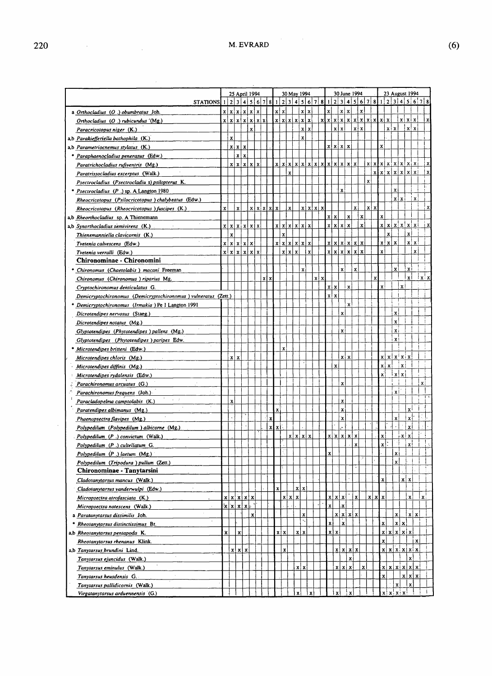$\hat{\boldsymbol{\beta}}$ 

|                                                                |                    |              | 25 April 1994                        |              |               |      |                  | 30 May 1994                                             |               |               |            |   |              | 30 June 1994             |              |              |              |                 |                                       |                    |                           | 23 August 1994              |                   |              |                |
|----------------------------------------------------------------|--------------------|--------------|--------------------------------------|--------------|---------------|------|------------------|---------------------------------------------------------|---------------|---------------|------------|---|--------------|--------------------------|--------------|--------------|--------------|-----------------|---------------------------------------|--------------------|---------------------------|-----------------------------|-------------------|--------------|----------------|
| STATIONS $1 2 3 4 5 6 7 8$                                     |                    |              |                                      |              |               |      |                  | 1 2 3 4 5 6 7                                           |               |               |            | 8 |              |                          |              |              |              | 1 2 3 4 5 6 7 8 |                                       |                    |                           | 1 2 3 4 5 6 7 8             |                   |              |                |
| a Orthocladius (O.) obumbratus Joh.                            |                    |              | x   x   x   x   x                    |              |               |      | $x \mid x$       |                                                         | x   x         |               |            |   | xl           |                          | $x \mid x$   |              | $\mathbf{x}$ |                 |                                       |                    |                           |                             |                   |              |                |
| Orthocladius $(O_+)$ rubicundus $(Mg_+)$                       |                    |              | x   x   x   x   x   x   x            |              |               |      |                  | x x x x x x                                             |               |               |            |   |              |                          |              |              |              |                 | x   x   x   x   x   x   x   x   x   x |                    |                           |                             | x   x   x         |              |                |
| Paracricotopus niger (K.)                                      |                    |              |                                      | $\mathbf{x}$ |               |      |                  |                                                         | x x           |               |            |   |              | x x                      |              |              | $x \mid x$   |                 |                                       |                    | $x \mid x$                |                             | x x               |              |                |
| a,b Parakiefferiella bathophila (K.)                           |                    | $\mathbf{x}$ |                                      |              |               |      |                  |                                                         | $\mathbf{x}$  |               |            |   |              |                          |              |              |              |                 |                                       |                    |                           |                             |                   |              |                |
| a,b Parametriocnemus stylatus (K.)                             |                    |              | x   x   x                            |              |               |      |                  |                                                         |               |               |            |   |              | x   x   x   x            |              |              |              |                 |                                       | xl                 |                           |                             |                   |              |                |
| Paraphaenocladius penerasus (Edw.)                             |                    |              | x x                                  |              |               |      |                  |                                                         |               |               |            |   |              |                          |              |              |              |                 |                                       |                    |                           |                             |                   |              |                |
| Paratrichocladius rufiventris (Mg.)                            |                    |              | x   x   x   x   x                    |              |               |      |                  | $x   x   x   x   x   x   x   x   x   x   x   x   x   x$ |               |               |            |   |              |                          |              |              |              |                 |                                       |                    |                           | x x x x   x   x   x   x   x |                   |              |                |
| Paratrissocladius excerptus (Walk.)                            |                    |              |                                      |              |               |      |                  | $\mathbf{x}$                                            |               |               |            |   |              |                          |              |              |              |                 |                                       |                    |                           | x x x   x   x   x   x       |                   |              |                |
| Psectrocladius (Psectrocladiu s) psilopterus K.                |                    |              |                                      |              |               |      |                  |                                                         |               |               |            |   |              |                          |              |              |              | $\mathbf{x}$    |                                       |                    |                           |                             |                   |              |                |
|                                                                |                    |              |                                      |              |               |      |                  |                                                         |               |               |            |   |              | $\mathbf{x}$             |              |              |              |                 |                                       |                    |                           | $\mathbf x$                 |                   |              |                |
| Psectrocladius (P.) sp. A Langton 1980                         |                    |              |                                      |              |               |      |                  |                                                         |               |               |            |   |              |                          |              |              |              |                 |                                       |                    |                           | x x                         |                   | $\mathbf{x}$ |                |
| Rheocricotopus (Psilocricotopus) chalybeatus (Edw.)            |                    |              |                                      |              |               |      |                  |                                                         |               |               |            |   |              |                          |              |              |              |                 | x x                                   |                    |                           |                             |                   |              |                |
| Rheocricotopus (Rheocricotopus) fuscipes (K.)                  | x                  |              | $\mathbf{x}$                         |              | x   x   x   x |      |                  | $\vert x \vert$                                         |               | x   x   x   x |            |   |              |                          |              | $\mathbf{x}$ |              |                 |                                       |                    |                           |                             |                   |              |                |
| a,b Rheorthocladius sp. A Thienemann                           |                    |              |                                      |              |               |      |                  |                                                         |               |               |            |   | $x \mid x$   |                          | X            |              | $\bf x$      |                 |                                       | $\mathbf{x}$       |                           |                             |                   |              |                |
| a,b Synorthocladius semivirens (K.)                            |                    |              | x   x   x   x   x   x                |              |               |      |                  | x   x   x   x   x   x                                   |               |               |            |   |              | x x x                    |              |              | x            |                 |                                       |                    |                           | x   x   x   x   x   x       |                   |              |                |
| Thienemanniella clavicornis (K.)                               |                    | $\mathbf{x}$ |                                      |              |               |      | $\boldsymbol{x}$ |                                                         |               |               |            |   |              |                          |              |              |              |                 |                                       |                    | $\boldsymbol{\mathrm{x}}$ |                             | x                 |              |                |
| Tvetenia calvescens (Edw.)                                     |                    |              | x   x   x   x                        |              |               |      |                  | x   x   x   x   x   x                                   |               |               |            |   |              | x   x   x   x   x        |              |              |              |                 |                                       |                    | $x \mid x \mid x$         |                             |                   | $x$ $x$ !    |                |
| Tvetenia verralli (Edw.)                                       |                    |              | x   x   x   x   x   x                |              |               |      |                  | $x \mid x \mid x$                                       |               | $\mathbf{x}$  |            |   |              | x   x   x   x   x   x    |              |              |              |                 |                                       | $\mathbf{x}$       |                           |                             |                   | $\mathbf x$  |                |
| Chironominae - Chironomini                                     |                    |              |                                      |              |               |      |                  |                                                         |               |               |            |   |              |                          |              |              |              |                 |                                       |                    |                           |                             |                   |              |                |
| Chironomus (Chaetolabis) macani Freeman                        |                    |              |                                      |              |               |      |                  |                                                         | $\mathbf{x}$  |               |            |   |              | $\mathbf x$              |              | $\mathbf{x}$ |              |                 |                                       |                    |                           | $\mathbf{x}$                | xi                |              |                |
| Chironomus (Chironomus) riparius Mg.                           |                    |              |                                      |              | x   x         |      |                  |                                                         |               |               | $x \mid x$ |   |              |                          |              |              |              |                 | X                                     |                    |                           |                             | $\mathbf{x}$      |              | x              |
| Cryptochironomus denticulatus G.                               |                    |              |                                      |              |               |      |                  |                                                         |               |               |            |   | $x \mid x$   |                          | $\mathbf{x}$ |              |              |                 |                                       | x                  |                           | x                           |                   |              |                |
| Demicryptochironomus (Demicryptochironomus) vulneratus (Zett.) |                    |              |                                      |              |               |      |                  |                                                         |               |               |            |   | $x \mid x$   |                          |              |              |              |                 |                                       |                    |                           |                             |                   |              |                |
| Demicryptochironomus (Irmakia) Pe 1 Langton 1991               |                    |              |                                      |              |               |      |                  |                                                         |               |               |            |   |              |                          | x!           |              |              |                 |                                       |                    |                           |                             |                   |              |                |
| Dicrotendipes nervosus (Staeg.)                                |                    |              |                                      |              |               |      |                  |                                                         |               |               |            |   |              | x                        |              |              |              |                 |                                       |                    |                           | x                           |                   |              |                |
| Dicrotendipes notatus (Mg.)                                    |                    |              |                                      |              |               |      |                  |                                                         |               |               |            |   |              |                          |              |              |              |                 |                                       |                    |                           | x                           |                   |              |                |
|                                                                |                    |              |                                      |              |               |      |                  |                                                         |               |               |            |   |              | $\mathbf{x}$             |              |              |              |                 |                                       |                    |                           | $\mathbf{x}$                |                   |              |                |
| Glyptotendipes (Phytotendipes ) pallens (Mg.)                  |                    |              |                                      |              |               |      |                  |                                                         |               |               |            |   |              |                          |              |              |              |                 |                                       |                    |                           | $\mathbf{x}$                |                   |              |                |
| Glyptotendipes (Phytotendipes) paripes Edw.                    |                    |              |                                      |              |               |      |                  |                                                         |               |               |            |   |              |                          |              |              |              |                 |                                       |                    |                           |                             |                   |              |                |
| Microtendipes britteni (Edw.)                                  |                    |              |                                      |              |               |      | $\mathbf{x}$     |                                                         |               |               |            |   |              |                          |              |              |              |                 |                                       |                    |                           |                             |                   |              |                |
| Microtendipes chloris (Mg.)                                    |                    |              | $x \mid x$                           |              |               |      |                  |                                                         |               |               |            |   |              |                          | x x          |              |              |                 |                                       |                    |                           | x   x   x   x   x           |                   |              |                |
| Microtendipes diffinis (Mg.)                                   |                    |              |                                      |              |               |      |                  |                                                         |               |               |            |   | $\mathbf x$  |                          |              |              |              |                 |                                       |                    | x   x                     | ∣x¦                         |                   |              |                |
| Microtendipes rydalensis (Edw.)                                |                    |              |                                      |              |               |      |                  |                                                         |               |               |            |   |              |                          |              |              |              |                 |                                       | $\mathbf{x}$       |                           | x x                         |                   |              |                |
| Parachironomus arcuatus (G.)                                   |                    |              |                                      |              |               |      |                  |                                                         |               |               |            |   |              | $\mathbf{x}$             |              |              |              |                 |                                       |                    |                           |                             |                   |              | хi             |
| Parachironomus frequens (Joh.)                                 |                    |              |                                      |              |               |      |                  |                                                         |               |               |            |   |              |                          |              |              |              |                 |                                       |                    |                           | $\overline{\mathbf{x}}$     |                   |              |                |
| $\alpha = 2$ .<br>Paracladopelma camptolabis (K.)              |                    | $\mathbf{x}$ |                                      |              |               |      |                  |                                                         |               |               |            |   |              | x                        |              |              |              |                 |                                       |                    |                           |                             |                   |              |                |
| Paratendipes albimanus (Mg.)                                   |                    |              |                                      |              |               | x    |                  |                                                         |               |               |            |   |              | x                        |              |              |              |                 |                                       |                    |                           |                             | x١                |              |                |
| Phaenopsectra flavipes (Mg.)                                   |                    |              |                                      |              |               | X    |                  |                                                         |               |               |            |   |              | X                        |              |              |              |                 |                                       |                    |                           | x                           | $\mathbf{x}$      |              |                |
| Polypedilum (Polypedilum) albicorne (Mg.)                      |                    |              |                                      |              |               | x[x] |                  |                                                         |               |               |            |   |              |                          |              |              |              |                 |                                       |                    |                           |                             | xļ                |              |                |
| Polypedilum (P.) convictum (Walk.)                             |                    |              |                                      |              |               |      |                  |                                                         | x   x   x   x |               |            |   |              | x x x                    |              |              |              |                 |                                       | x l                |                           |                             | ⊹x   x            |              |                |
| Polypedilum (P.) cultellatum G.                                |                    |              |                                      |              |               |      |                  |                                                         |               |               |            |   |              |                          |              | $\mathbf x$  |              |                 |                                       | $x$ :              |                           |                             | x!                |              |                |
| Polypedilum $(P_+)$ laetum $(Mg_+)$                            |                    |              |                                      |              |               |      |                  |                                                         |               |               |            |   | $\mathbf x$  |                          |              |              |              |                 |                                       |                    |                           | $\mathbf{x}$                |                   |              |                |
| Polypedilum (Tripodura ) pullum (Zett.)                        |                    |              |                                      |              |               |      |                  |                                                         |               |               |            |   |              |                          |              |              |              |                 |                                       |                    |                           | $\mathbf{x}$                |                   |              |                |
| Chironominae - Tanytarsini                                     |                    |              |                                      |              |               |      |                  |                                                         |               |               |            |   |              |                          |              |              |              |                 |                                       |                    |                           |                             |                   |              |                |
|                                                                |                    |              |                                      |              |               |      |                  |                                                         |               |               |            |   |              |                          |              |              |              |                 |                                       | $\mathbf{x}$       |                           |                             |                   |              |                |
| Cladotanytarsus mancus (Walk.)                                 |                    |              |                                      |              |               |      |                  |                                                         |               |               |            |   |              |                          |              |              |              |                 |                                       |                    |                           |                             | x   x             |              |                |
| Cladotanytarsus vanderwulpi (Edw.)                             |                    |              |                                      |              |               |      | $\mathbf{x}$     |                                                         | $x \mid x$    |               |            |   |              |                          |              |              |              |                 |                                       |                    |                           |                             |                   |              |                |
| Micropsectra atrofasciata (K.)                                 |                    |              | $x x $ x $x x $                      |              |               |      |                  | x   x   x                                               |               |               |            |   |              | x   x   x                |              | $\mathbf{x}$ |              |                 | x   x   x                             |                    |                           |                             | $\mathbf{x}$      |              | $\mathbf{x}$ : |
| Micropsectra notescens (Walk.)                                 |                    |              | $ \mathbf{x} \mathbf{x} \mathbf{x} $ |              |               |      |                  |                                                         |               |               |            |   | xl           | .x                       |              |              |              |                 |                                       |                    |                           |                             |                   |              |                |
| a Paratanytarsus dissimilis Joh.                               |                    |              |                                      | xl           |               |      |                  |                                                         | $\mathbf x$   |               |            |   |              | x   x   x   x            |              |              |              |                 |                                       |                    |                           | $\mathbf{x}$                |                   | $x \mid x$   |                |
| Rheotanytarsus distinctissimus Br.                             |                    |              |                                      |              |               |      |                  |                                                         |               |               |            |   | $\mathbf{x}$ | $\mathbf{x}$             |              |              |              |                 |                                       | $\mathbf{\dot{x}}$ |                           | x x                         |                   |              |                |
| a,b Rheotanytarsus pentapoda K.                                | $\mathbf{\hat{x}}$ |              | $\mathbf{x}$                         |              |               |      | x x              |                                                         | $x \mid x$    |               |            |   | x   x        |                          |              |              |              |                 |                                       |                    |                           | x   x   x   x   x           |                   |              |                |
| Rheotanytarsus rhenanus Klink.                                 |                    |              |                                      |              |               |      |                  |                                                         |               |               |            |   |              |                          |              |              |              |                 |                                       | $\mathbf{x}$       |                           |                             |                   | $\bf x$      |                |
| a,b Tanytarsus brundini Lind.                                  |                    |              | x   x   x                            |              |               |      |                  | $\mathbf x$                                             |               |               |            |   |              | $x \mid x \mid x \mid x$ |              |              |              |                 |                                       |                    |                           | x   x   x   x   x   x       |                   |              |                |
| Tanytarsus ejuncidus (Walk.)                                   |                    |              |                                      |              |               |      |                  |                                                         |               |               |            |   |              |                          |              | x            |              |                 |                                       |                    |                           |                             | $\mathbf{x}$      |              |                |
| Tanytarsus eminulus (Walk.)                                    |                    |              |                                      |              |               |      |                  |                                                         | $x \mid x$    |               |            |   |              | x   x   x                |              |              | $\mathbf{x}$ |                 |                                       |                    |                           | x   x   x   x   x   x       |                   |              |                |
| Tanytarsus heusdensis G.                                       |                    |              |                                      |              |               |      |                  |                                                         |               |               |            |   |              |                          |              |              |              |                 |                                       | $\mathbf{x}$       |                           |                             | $x \mid x \mid x$ |              |                |
|                                                                |                    |              |                                      |              |               |      |                  |                                                         |               |               |            |   |              |                          |              |              |              |                 |                                       |                    |                           |                             |                   |              |                |
| Tanytarsus pallidicornis (Walk.)                               |                    |              |                                      |              |               |      |                  |                                                         |               |               |            |   |              |                          |              |              |              |                 |                                       |                    |                           | x                           | $\mathbf{x}$      |              |                |